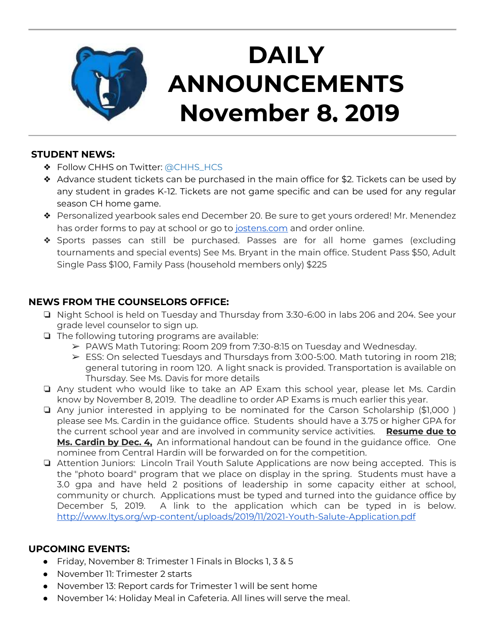

# **DAILY ANNOUNCEMENTS November 8, 2019**

#### **STUDENT NEWS:**

- ❖ Follow CHHS on Twitter: [@CHHS\\_HCS](https://twitter.com/CHHS_HCS)
- ❖ Advance student tickets can be purchased in the main office for \$2. Tickets can be used by any student in grades K-12. Tickets are not game specific and can be used for any regular season CH home game.
- ❖ Personalized yearbook sales end December 20. Be sure to get yours ordered! Mr. Menendez has order forms to pay at school or go to [jostens.com](http://jostens.com/) and order online.
- ❖ Sports passes can still be purchased. Passes are for all home games (excluding tournaments and special events) See Ms. Bryant in the main office. Student Pass \$50, Adult Single Pass \$100, Family Pass (household members only) \$225

### **NEWS FROM THE COUNSELORS OFFICE:**

- ❏ Night School is held on Tuesday and Thursday from 3:30-6:00 in labs 206 and 204. See your grade level counselor to sign up.
- ❏ The following tutoring programs are available:
	- $\triangleright$  PAWS Math Tutoring: Room 209 from 7:30-8:15 on Tuesday and Wednesday.
	- ➢ ESS: On selected Tuesdays and Thursdays from 3:00-5:00. Math tutoring in room 218; general tutoring in room 120. A light snack is provided. Transportation is available on Thursday. See Ms. Davis for more details
- ❏ Any student who would like to take an AP Exam this school year, please let Ms. Cardin know by November 8, 2019. The deadline to order AP Exams is much earlier this year.
- ❏ Any junior interested in applying to be nominated for the Carson Scholarship (\$1,000 ) please see Ms. Cardin in the guidance office. Students should have a 3.75 or higher GPA for the current school year and are involved in community service activities. **Resume due to Ms. Cardin by Dec. 4,** An informational handout can be found in the guidance office. One nominee from Central Hardin will be forwarded on for the competition.
- ❏ Attention Juniors: Lincoln Trail Youth Salute Applications are now being accepted. This is the "photo board" program that we place on display in the spring. Students must have a 3.0 gpa and have held 2 positions of leadership in some capacity either at school, community or church. Applications must be typed and turned into the guidance office by December 5, 2019. A link to the application which can be typed in is below. <http://www.ltys.org/wp-content/uploads/2019/11/2021-Youth-Salute-Application.pdf>

#### **UPCOMING EVENTS:**

- Friday, November 8: Trimester 1 Finals in Blocks 1, 3 & 5
- November 11: Trimester 2 starts
- November 13: Report cards for Trimester 1 will be sent home
- November 14: Holiday Meal in Cafeteria. All lines will serve the meal.